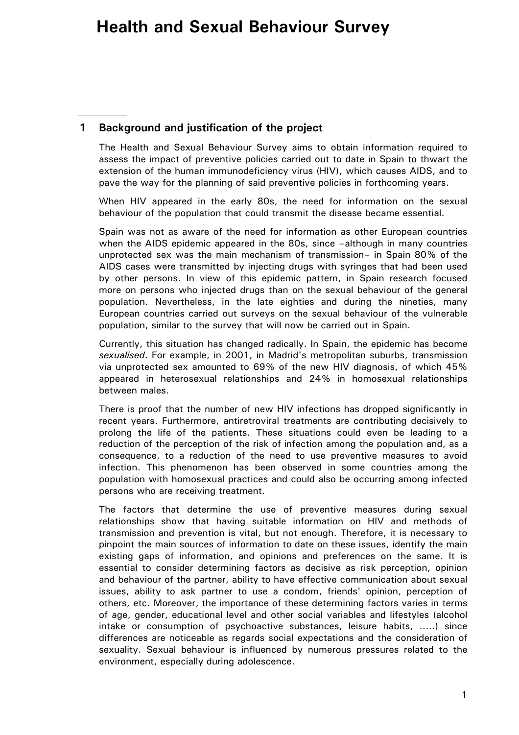# **1 Background and justification of the project**

The Health and Sexual Behaviour Survey aims to obtain information required to assess the impact of preventive policies carried out to date in Spain to thwart the extension of the human immunodeficiency virus (HIV), which causes AIDS, and to pave the way for the planning of said preventive policies in forthcoming years.

When HIV appeared in the early 80s, the need for information on the sexual behaviour of the population that could transmit the disease became essential.

Spain was not as aware of the need for information as other European countries when the AIDS epidemic appeared in the 80s, since –although in many countries unprotected sex was the main mechanism of transmission– in Spain 80% of the AIDS cases were transmitted by injecting drugs with syringes that had been used by other persons. In view of this epidemic pattern, in Spain research focused more on persons who injected drugs than on the sexual behaviour of the general population. Nevertheless, in the late eighties and during the nineties, many European countries carried out surveys on the sexual behaviour of the vulnerable population, similar to the survey that will now be carried out in Spain.

Currently, this situation has changed radically. In Spain, the epidemic has become *sexualised*. For example, in 2001, in Madrid's metropolitan suburbs, transmission via unprotected sex amounted to 69% of the new HIV diagnosis, of which 45% appeared in heterosexual relationships and 24% in homosexual relationships between males.

There is proof that the number of new HIV infections has dropped significantly in recent years. Furthermore, antiretroviral treatments are contributing decisively to prolong the life of the patients. These situations could even be leading to a reduction of the perception of the risk of infection among the population and, as a consequence, to a reduction of the need to use preventive measures to avoid infection. This phenomenon has been observed in some countries among the population with homosexual practices and could also be occurring among infected persons who are receiving treatment.

The factors that determine the use of preventive measures during sexual relationships show that having suitable information on HIV and methods of transmission and prevention is vital, but not enough. Therefore, it is necessary to pinpoint the main sources of information to date on these issues, identify the main existing gaps of information, and opinions and preferences on the same. It is essential to consider determining factors as decisive as risk perception, opinion and behaviour of the partner, ability to have effective communication about sexual issues, ability to ask partner to use a condom, friends' opinion, perception of others, etc. Moreover, the importance of these determining factors varies in terms of age, gender, educational level and other social variables and lifestyles (alcohol intake or consumption of psychoactive substances, leisure habits, …..) since differences are noticeable as regards social expectations and the consideration of sexuality. Sexual behaviour is influenced by numerous pressures related to the environment, especially during adolescence.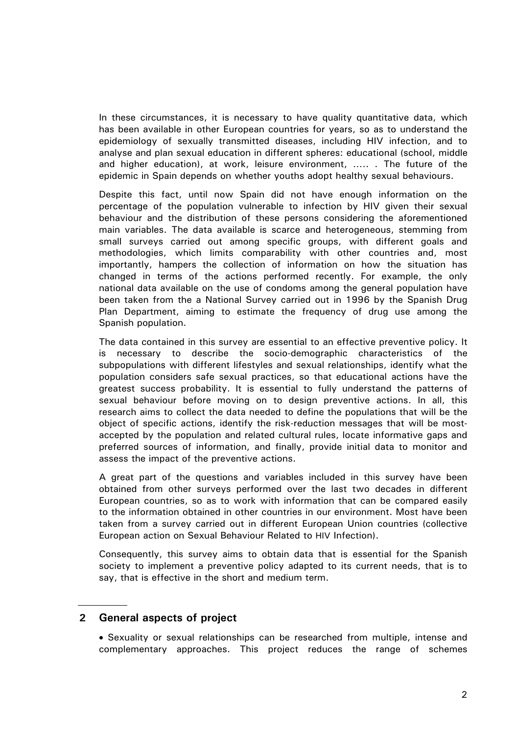In these circumstances, it is necessary to have quality quantitative data, which has been available in other European countries for years, so as to understand the epidemiology of sexually transmitted diseases, including HIV infection, and to analyse and plan sexual education in different spheres: educational (school, middle and higher education), at work, leisure environment, ….. . The future of the epidemic in Spain depends on whether youths adopt healthy sexual behaviours.

Despite this fact, until now Spain did not have enough information on the percentage of the population vulnerable to infection by HIV given their sexual behaviour and the distribution of these persons considering the aforementioned main variables. The data available is scarce and heterogeneous, stemming from small surveys carried out among specific groups, with different goals and methodologies, which limits comparability with other countries and, most importantly, hampers the collection of information on how the situation has changed in terms of the actions performed recently. For example, the only national data available on the use of condoms among the general population have been taken from the a National Survey carried out in 1996 by the Spanish Drug Plan Department, aiming to estimate the frequency of drug use among the Spanish population.

The data contained in this survey are essential to an effective preventive policy. It is necessary to describe the socio-demographic characteristics of the subpopulations with different lifestyles and sexual relationships, identify what the population considers safe sexual practices, so that educational actions have the greatest success probability. It is essential to fully understand the patterns of sexual behaviour before moving on to design preventive actions. In all, this research aims to collect the data needed to define the populations that will be the object of specific actions, identify the risk-reduction messages that will be mostaccepted by the population and related cultural rules, locate informative gaps and preferred sources of information, and finally, provide initial data to monitor and assess the impact of the preventive actions.

A great part of the questions and variables included in this survey have been obtained from other surveys performed over the last two decades in different European countries, so as to work with information that can be compared easily to the information obtained in other countries in our environment. Most have been taken from a survey carried out in different European Union countries (collective European action on Sexual Behaviour Related to HIV Infection).

Consequently, this survey aims to obtain data that is essential for the Spanish society to implement a preventive policy adapted to its current needs, that is to say, that is effective in the short and medium term.

# **2 General aspects of project**

• Sexuality or sexual relationships can be researched from multiple, intense and complementary approaches. This project reduces the range of schemes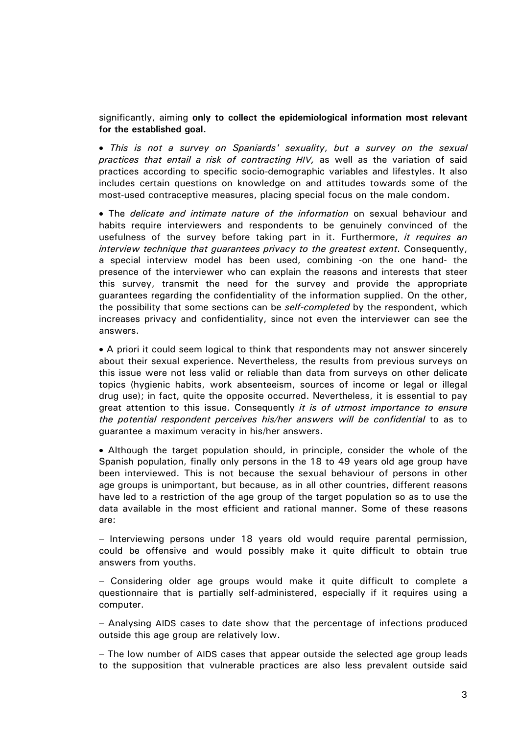significantly, aiming **only to collect the epidemiological information most relevant for the established goal.** 

• *This is not a survey on Spaniards' sexuality*, *but a survey on the sexual practices that entail a risk of contracting HIV,* as well as the variation of said practices according to specific socio-demographic variables and lifestyles. It also includes certain questions on knowledge on and attitudes towards some of the most-used contraceptive measures, placing special focus on the male condom.

• The *delicate and intimate nature of the information* on sexual behaviour and habits require interviewers and respondents to be genuinely convinced of the usefulness of the survey before taking part in it. Furthermore, *it requires an interview technique that guarantees privacy to the greatest extent*. Consequently, a special interview model has been used, combining -on the one hand- the presence of the interviewer who can explain the reasons and interests that steer this survey, transmit the need for the survey and provide the appropriate guarantees regarding the confidentiality of the information supplied. On the other, the possibility that some sections can be *self-completed* by the respondent, which increases privacy and confidentiality, since not even the interviewer can see the answers.

• A priori it could seem logical to think that respondents may not answer sincerely about their sexual experience. Nevertheless, the results from previous surveys on this issue were not less valid or reliable than data from surveys on other delicate topics (hygienic habits, work absenteeism, sources of income or legal or illegal drug use); in fact, quite the opposite occurred. Nevertheless, it is essential to pay great attention to this issue. Consequently *it is of utmost importance to ensure the potential respondent perceives his/her answers will be confidential* to as to guarantee a maximum veracity in his/her answers.

• Although the target population should, in principle, consider the whole of the Spanish population, finally only persons in the 18 to 49 years old age group have been interviewed. This is not because the sexual behaviour of persons in other age groups is unimportant, but because, as in all other countries, different reasons have led to a restriction of the age group of the target population so as to use the data available in the most efficient and rational manner. Some of these reasons are:

− Interviewing persons under 18 years old would require parental permission, could be offensive and would possibly make it quite difficult to obtain true answers from youths.

− Considering older age groups would make it quite difficult to complete a questionnaire that is partially self-administered, especially if it requires using a computer.

− Analysing AIDS cases to date show that the percentage of infections produced outside this age group are relatively low.

− The low number of AIDS cases that appear outside the selected age group leads to the supposition that vulnerable practices are also less prevalent outside said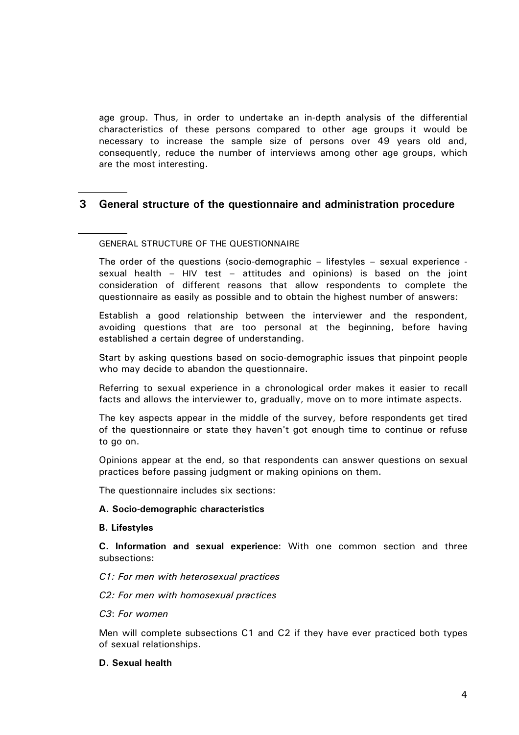age group. Thus, in order to undertake an in-depth analysis of the differential characteristics of these persons compared to other age groups it would be necessary to increase the sample size of persons over 49 years old and, consequently, reduce the number of interviews among other age groups, which are the most interesting.

# **3 General structure of the questionnaire and administration procedure**

## GENERAL STRUCTURE OF THE QUESTIONNAIRE

The order of the questions (socio-demographic – lifestyles – sexual experience sexual health – HIV test – attitudes and opinions) is based on the joint consideration of different reasons that allow respondents to complete the questionnaire as easily as possible and to obtain the highest number of answers:

Establish a good relationship between the interviewer and the respondent, avoiding questions that are too personal at the beginning, before having established a certain degree of understanding.

Start by asking questions based on socio-demographic issues that pinpoint people who may decide to abandon the questionnaire.

Referring to sexual experience in a chronological order makes it easier to recall facts and allows the interviewer to, gradually, move on to more intimate aspects.

The key aspects appear in the middle of the survey, before respondents get tired of the questionnaire or state they haven't got enough time to continue or refuse to go on.

Opinions appear at the end, so that respondents can answer questions on sexual practices before passing judgment or making opinions on them.

The questionnaire includes six sections:

## **A. Socio-demographic characteristics**

## **B. Lifestyles**

**C. Information and sexual experience**: With one common section and three subsections:

## *C1: For men with heterosexual practices*

*C2: For men with homosexual practices* 

## *C3*: *For women*

Men will complete subsections C1 and C2 if they have ever practiced both types of sexual relationships.

## **D. Sexual health**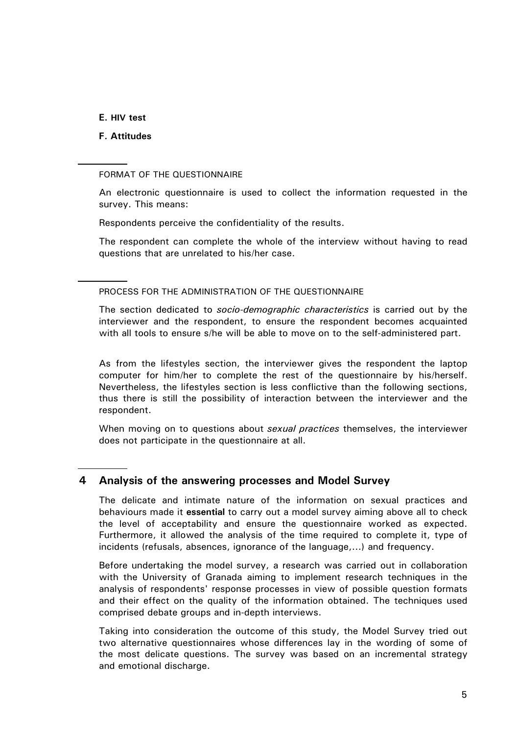# **E. HIV test**

# **F. Attitudes**

## FORMAT OF THE QUESTIONNAIRE

An electronic questionnaire is used to collect the information requested in the survey. This means:

Respondents perceive the confidentiality of the results.

The respondent can complete the whole of the interview without having to read questions that are unrelated to his/her case.

PROCESS FOR THE ADMINISTRATION OF THE QUESTIONNAIRE

The section dedicated to *socio-demographic characteristics* is carried out by the interviewer and the respondent, to ensure the respondent becomes acquainted with all tools to ensure s/he will be able to move on to the self-administered part.

As from the lifestyles section, the interviewer gives the respondent the laptop computer for him/her to complete the rest of the questionnaire by his/herself. Nevertheless, the lifestyles section is less conflictive than the following sections, thus there is still the possibility of interaction between the interviewer and the respondent.

When moving on to questions about *sexual practices* themselves, the interviewer does not participate in the questionnaire at all.

# **4 Analysis of the answering processes and Model Survey**

The delicate and intimate nature of the information on sexual practices and behaviours made it **essential** to carry out a model survey aiming above all to check the level of acceptability and ensure the questionnaire worked as expected. Furthermore, it allowed the analysis of the time required to complete it, type of incidents (refusals, absences, ignorance of the language,...) and frequency.

Before undertaking the model survey, a research was carried out in collaboration with the University of Granada aiming to implement research techniques in the analysis of respondents' response processes in view of possible question formats and their effect on the quality of the information obtained. The techniques used comprised debate groups and in-depth interviews.

Taking into consideration the outcome of this study, the Model Survey tried out two alternative questionnaires whose differences lay in the wording of some of the most delicate questions. The survey was based on an incremental strategy and emotional discharge.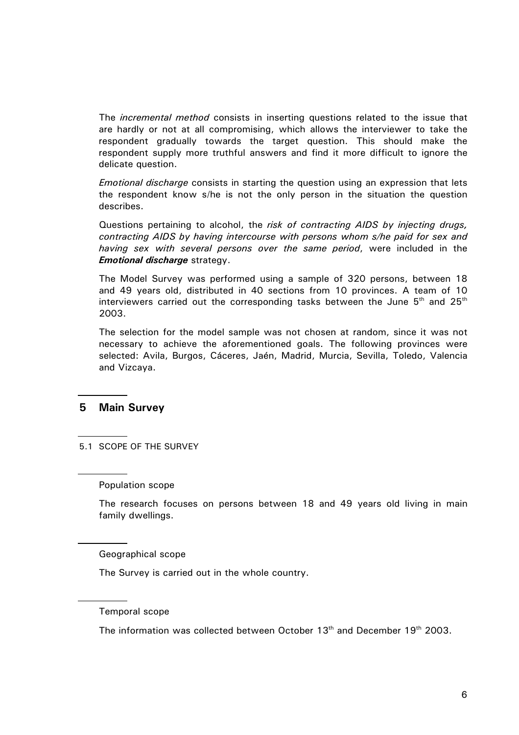The *incremental method* consists in inserting questions related to the issue that are hardly or not at all compromising, which allows the interviewer to take the respondent gradually towards the target question. This should make the respondent supply more truthful answers and find it more difficult to ignore the delicate question.

*Emotional discharge* consists in starting the question using an expression that lets the respondent know s/he is not the only person in the situation the question describes.

Questions pertaining to alcohol, the *risk of contracting AIDS by injecting drugs, contracting AIDS by having intercourse with persons whom s/he paid for sex and having sex with several persons over the same period*, were included in the *Emotional discharge* strategy.

The Model Survey was performed using a sample of 320 persons, between 18 and 49 years old, distributed in 40 sections from 10 provinces. A team of 10 interviewers carried out the corresponding tasks between the June  $5<sup>th</sup>$  and  $25<sup>th</sup>$ 2003.

The selection for the model sample was not chosen at random, since it was not necessary to achieve the aforementioned goals. The following provinces were selected: Avila, Burgos, Cáceres, Jaén, Madrid, Murcia, Sevilla, Toledo, Valencia and Vizcaya.

# **5 Main Survey**

5.1 SCOPE OF THE SURVEY

Population scope

The research focuses on persons between 18 and 49 years old living in main family dwellings.

Geographical scope

The Survey is carried out in the whole country.

Temporal scope

The information was collected between October 13<sup>th</sup> and December 19<sup>th</sup> 2003.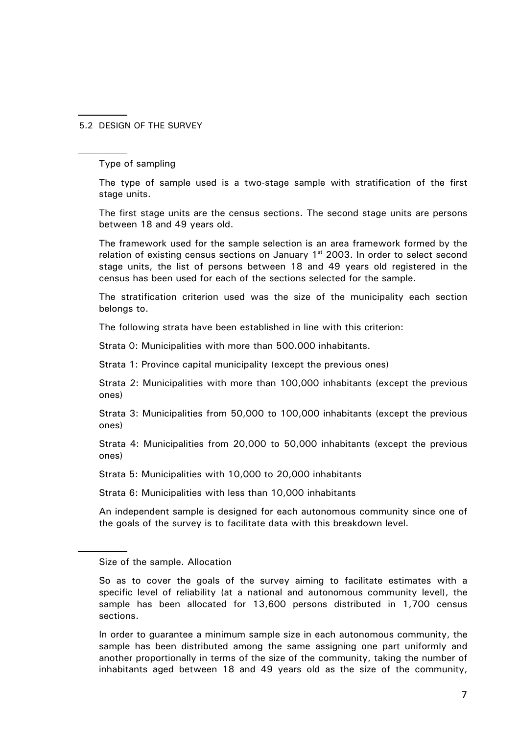5.2 DESIGN OF THE SURVEY

Type of sampling

The type of sample used is a two-stage sample with stratification of the first stage units.

The first stage units are the census sections. The second stage units are persons between 18 and 49 years old.

The framework used for the sample selection is an area framework formed by the relation of existing census sections on January  $1<sup>st</sup>$  2003. In order to select second stage units, the list of persons between 18 and 49 years old registered in the census has been used for each of the sections selected for the sample.

The stratification criterion used was the size of the municipality each section belongs to.

The following strata have been established in line with this criterion:

Strata 0: Municipalities with more than 500.000 inhabitants.

Strata 1: Province capital municipality (except the previous ones)

Strata 2: Municipalities with more than 100,000 inhabitants (except the previous ones)

Strata 3: Municipalities from 50,000 to 100,000 inhabitants (except the previous ones)

Strata 4: Municipalities from 20,000 to 50,000 inhabitants (except the previous ones)

Strata 5: Municipalities with 10,000 to 20,000 inhabitants

Strata 6: Municipalities with less than 10,000 inhabitants

An independent sample is designed for each autonomous community since one of the goals of the survey is to facilitate data with this breakdown level.

Size of the sample. Allocation

So as to cover the goals of the survey aiming to facilitate estimates with a specific level of reliability (at a national and autonomous community level), the sample has been allocated for 13,600 persons distributed in 1,700 census sections.

In order to guarantee a minimum sample size in each autonomous community, the sample has been distributed among the same assigning one part uniformly and another proportionally in terms of the size of the community, taking the number of inhabitants aged between 18 and 49 years old as the size of the community,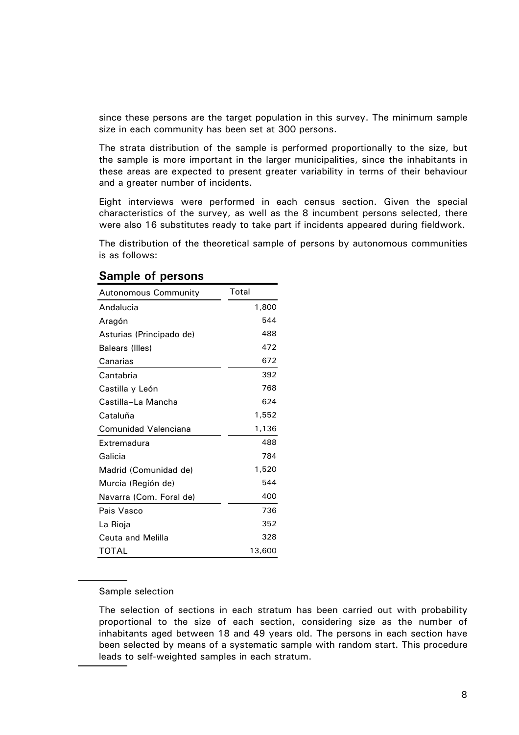since these persons are the target population in this survey. The minimum sample size in each community has been set at 300 persons.

The strata distribution of the sample is performed proportionally to the size, but the sample is more important in the larger municipalities, since the inhabitants in these areas are expected to present greater variability in terms of their behaviour and a greater number of incidents.

Eight interviews were performed in each census section. Given the special characteristics of the survey, as well as the 8 incumbent persons selected, there were also 16 substitutes ready to take part if incidents appeared during fieldwork.

The distribution of the theoretical sample of persons by autonomous communities is as follows:

| <b>Autonomous Community</b> | Total  |
|-----------------------------|--------|
| Andalucia                   | 1,800  |
| Aragón                      | 544    |
| Asturias (Principado de)    | 488    |
| Balears (Illes)             | 472    |
| Canarias                    | 672    |
| Cantabria                   | 392    |
| Castilla y León             | 768    |
| Castilla-La Mancha          | 624    |
| Cataluña                    | 1,552  |
| Comunidad Valenciana        | 1,136  |
| Extremadura                 | 488    |
| Galicia                     | 784    |
| Madrid (Comunidad de)       | 1,520  |
| Murcia (Región de)          | 544    |
| Navarra (Com. Foral de)     | 400    |
| Pais Vasco                  | 736    |
| La Rioja                    | 352    |
| Ceuta and Melilla           | 328    |
| TOTAL                       | 13,600 |

# **Sample of persons**

Sample selection

The selection of sections in each stratum has been carried out with probability proportional to the size of each section, considering size as the number of inhabitants aged between 18 and 49 years old. The persons in each section have been selected by means of a systematic sample with random start. This procedure leads to self-weighted samples in each stratum.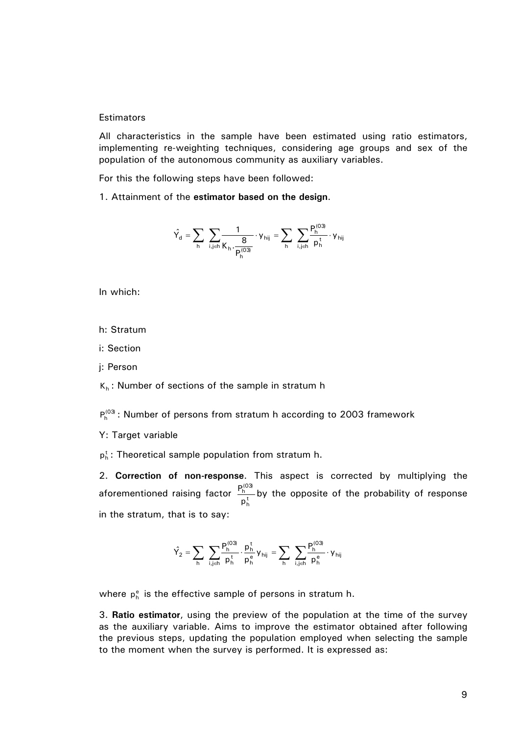#### **Estimators**

All characteristics in the sample have been estimated using ratio estimators, implementing re-weighting techniques, considering age groups and sex of the population of the autonomous community as auxiliary variables.

For this the following steps have been followed:

1. Attainment of the **estimator based on the design**.

$$
\hat{Y_d} = \sum_h \sum_{i,j \in h} \frac{1}{K_h.\frac{8}{P_h^{(03)}}} \cdot \gamma_{hij} = \sum_h \sum_{i,j \in h} \frac{P_h^{(03)}}{p_h^{t}} \cdot \gamma_{hij}
$$

In which:

- h: Stratum
- i: Section
- j: Person

 $K_h$ : Number of sections of the sample in stratum h

 $P^{(03)}_{h}$ : Number of persons from stratum h according to 2003 framework

Y: Target variable

 $p_h^t$ : Theoretical sample population from stratum h.

2. **Correction of non-response**. This aspect is corrected by multiplying the aforementioned raising factor  $\frac{1-h}{p_h^t}$ (03) h p  $\frac{P_1^{(03)}}{P_1^{(03)}}$  by the opposite of the probability of response in the stratum, that is to say:

$$
\hat{Y_2} = \sum_h \ \sum_{i,j \in h} \frac{P^{(03)}_h}{p^{t}_h} \cdot \frac{p^{t}_h}{p^{e}_h} \, y_{hij} = \sum_h \ \sum_{i,j \in h} \frac{P^{(03)}_h}{p^{e}_h} \cdot y_{hij}
$$

where  $p_h^e$  is the effective sample of persons in stratum h.

3. **Ratio estimator**, using the preview of the population at the time of the survey as the auxiliary variable. Aims to improve the estimator obtained after following the previous steps, updating the population employed when selecting the sample to the moment when the survey is performed. It is expressed as: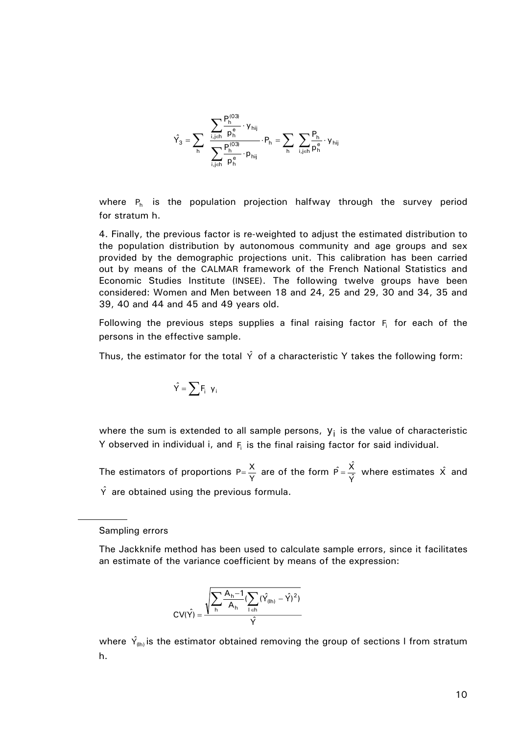$$
\hat{Y_3} = \sum_h \frac{\displaystyle\sum_{i,j \in h} \frac{P^{(03)}_h}{p^e_h} \cdot \gamma_{hij}}{\displaystyle\sum_{i,j \in h} \frac{P^{(03)}_h}{p^e_h} \cdot p_{hij}} \cdot P_h = \sum_h \sum_{i,j \in h} \frac{P_h}{p^e_h} \cdot \gamma_{hij}
$$

where  $P_h$  is the population projection halfway through the survey period for stratum h.

4. Finally, the previous factor is re-weighted to adjust the estimated distribution to the population distribution by autonomous community and age groups and sex provided by the demographic projections unit. This calibration has been carried out by means of the CALMAR framework of the French National Statistics and Economic Studies Institute (INSEE). The following twelve groups have been considered: Women and Men between 18 and 24, 25 and 29, 30 and 34, 35 and 39, 40 and 44 and 45 and 49 years old.

Following the previous steps supplies a final raising factor  $F_i$  for each of the persons in the effective sample.

Thus, the estimator for the total  $\hat{Y}$  of a characteristic Y takes the following form:

$$
\hat{Y} = \sum F_i \ y_i
$$

where the sum is extended to all sample persons,  $y_i$  is the value of characteristic Y observed in individual i, and F<sub>i</sub> is the final raising factor for said individual.

The estimators of proportions P= $\frac{X}{Y}$  are of the form Yˆ  $\hat{P} = \frac{\hat{X}}{2}$  where estimates  $\hat{X}$  and  $\hat{Y}$  are obtained using the previous formula.

Sampling errors

The Jackknife method has been used to calculate sample errors, since it facilitates an estimate of the variance coefficient by means of the expression:

$$
CV(\hat{Y}) = \frac{\sqrt{\sum_h \frac{A_h - 1}{A_h} (\sum_{i \in h} (\hat{Y}_{(lh)} - \hat{Y})^2)}}{\hat{Y}}
$$

where  $\hat{Y}_{(lh)}$  is the estimator obtained removing the group of sections I from stratum h.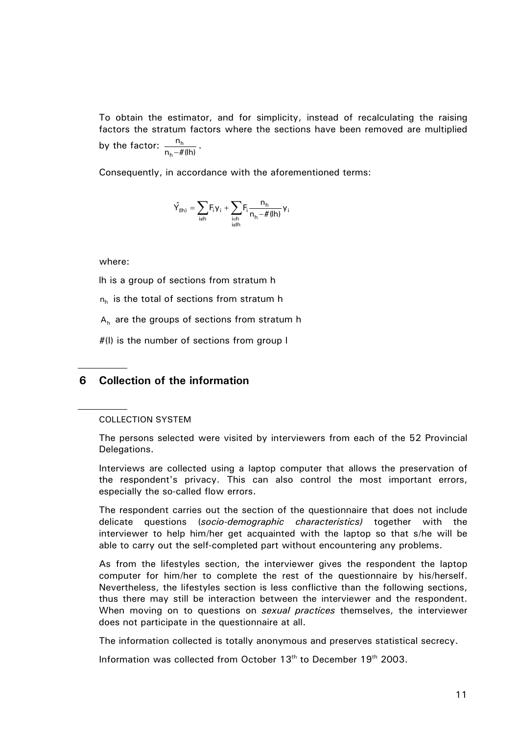To obtain the estimator, and for simplicity, instead of recalculating the raising factors the stratum factors where the sections have been removed are multiplied by the factor:  $\frac{n_h}{n_h - \#(\ln)}$ n h  $\frac{n_h}{- \# (lh)}$ .

Consequently, in accordance with the aforementioned terms:

$$
\hat{Y}_{(lh)}=\sum_{i\not\in h}F_iy_i+\sum_{\substack{i\in h\\i\not\in lh}}F_i\frac{n_h}{n_h-\#\text{(lh)}}y_i
$$

where:

lh is a group of sections from stratum h

 $n_h$  is the total of sections from stratum h

A<sub>h</sub> are the groups of sections from stratum h

#(l) is the number of sections from group l

# **6 Collection of the information**

#### COLLECTION SYSTEM

The persons selected were visited by interviewers from each of the 52 Provincial Delegations.

Interviews are collected using a laptop computer that allows the preservation of the respondent's privacy. This can also control the most important errors, especially the so-called flow errors.

The respondent carries out the section of the questionnaire that does not include delicate questions (*socio-demographic characteristics)* together with the interviewer to help him/her get acquainted with the laptop so that s/he will be able to carry out the self-completed part without encountering any problems.

As from the lifestyles section, the interviewer gives the respondent the laptop computer for him/her to complete the rest of the questionnaire by his/herself. Nevertheless, the lifestyles section is less conflictive than the following sections, thus there may still be interaction between the interviewer and the respondent. When moving on to questions on *sexual practices* themselves, the interviewer does not participate in the questionnaire at all.

The information collected is totally anonymous and preserves statistical secrecy.

Information was collected from October  $13<sup>th</sup>$  to December  $19<sup>th</sup>$  2003.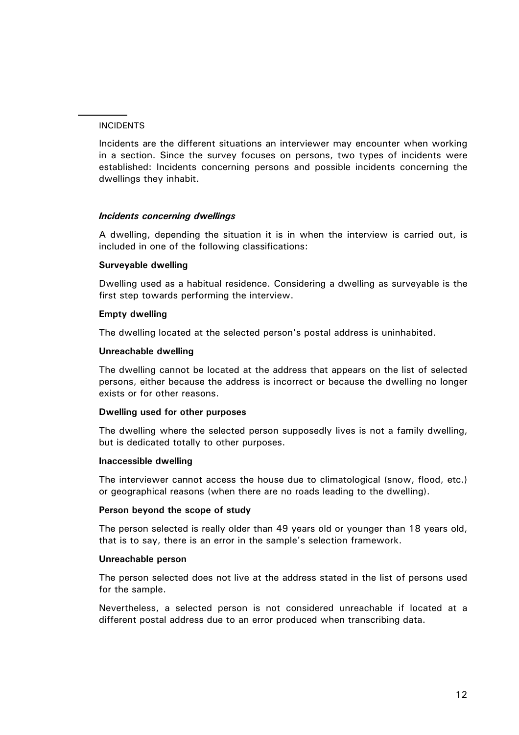#### INCIDENTS

Incidents are the different situations an interviewer may encounter when working in a section. Since the survey focuses on persons, two types of incidents were established: Incidents concerning persons and possible incidents concerning the dwellings they inhabit.

#### *Incidents concerning dwellings*

A dwelling, depending the situation it is in when the interview is carried out, is included in one of the following classifications:

#### **Surveyable dwelling**

Dwelling used as a habitual residence. Considering a dwelling as surveyable is the first step towards performing the interview.

#### **Empty dwelling**

The dwelling located at the selected person's postal address is uninhabited.

#### **Unreachable dwelling**

The dwelling cannot be located at the address that appears on the list of selected persons, either because the address is incorrect or because the dwelling no longer exists or for other reasons.

#### **Dwelling used for other purposes**

The dwelling where the selected person supposedly lives is not a family dwelling, but is dedicated totally to other purposes.

#### **Inaccessible dwelling**

The interviewer cannot access the house due to climatological (snow, flood, etc.) or geographical reasons (when there are no roads leading to the dwelling).

#### **Person beyond the scope of study**

The person selected is really older than 49 years old or younger than 18 years old, that is to say, there is an error in the sample's selection framework.

#### **Unreachable person**

The person selected does not live at the address stated in the list of persons used for the sample.

Nevertheless, a selected person is not considered unreachable if located at a different postal address due to an error produced when transcribing data.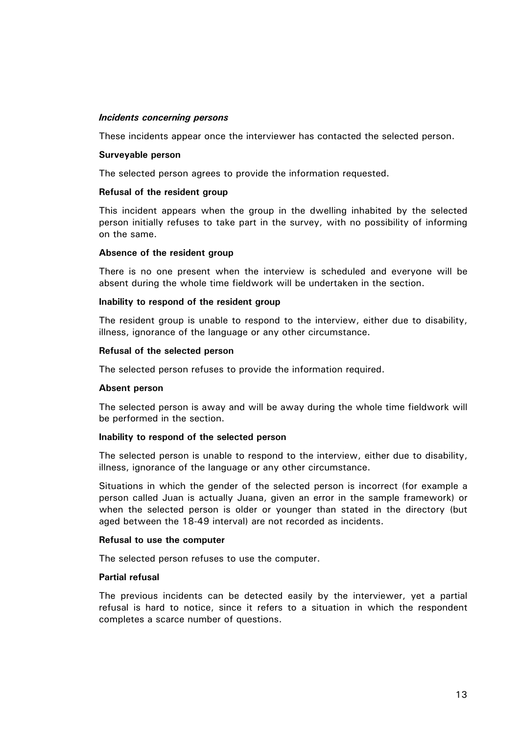## *Incidents concerning persons*

These incidents appear once the interviewer has contacted the selected person.

#### **Surveyable person**

The selected person agrees to provide the information requested.

#### **Refusal of the resident group**

This incident appears when the group in the dwelling inhabited by the selected person initially refuses to take part in the survey, with no possibility of informing on the same.

#### **Absence of the resident group**

There is no one present when the interview is scheduled and everyone will be absent during the whole time fieldwork will be undertaken in the section.

#### **Inability to respond of the resident group**

The resident group is unable to respond to the interview, either due to disability, illness, ignorance of the language or any other circumstance.

#### **Refusal of the selected person**

The selected person refuses to provide the information required.

## **Absent person**

The selected person is away and will be away during the whole time fieldwork will be performed in the section.

## **Inability to respond of the selected person**

The selected person is unable to respond to the interview, either due to disability, illness, ignorance of the language or any other circumstance.

Situations in which the gender of the selected person is incorrect (for example a person called Juan is actually Juana, given an error in the sample framework) or when the selected person is older or younger than stated in the directory (but aged between the 18-49 interval) are not recorded as incidents.

## **Refusal to use the computer**

The selected person refuses to use the computer.

# **Partial refusal**

The previous incidents can be detected easily by the interviewer, yet a partial refusal is hard to notice, since it refers to a situation in which the respondent completes a scarce number of questions.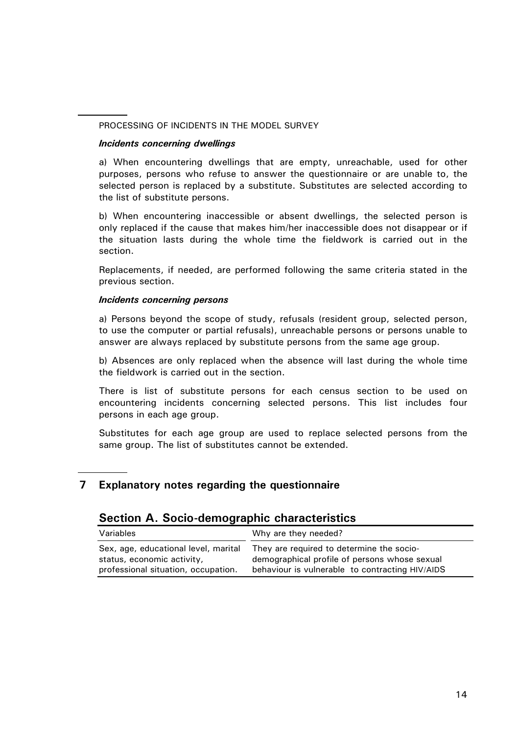## PROCESSING OF INCIDENTS IN THE MODEL SURVEY

#### *Incidents concerning dwellings*

a) When encountering dwellings that are empty, unreachable, used for other purposes, persons who refuse to answer the questionnaire or are unable to, the selected person is replaced by a substitute. Substitutes are selected according to the list of substitute persons.

b) When encountering inaccessible or absent dwellings, the selected person is only replaced if the cause that makes him/her inaccessible does not disappear or if the situation lasts during the whole time the fieldwork is carried out in the section.

Replacements, if needed, are performed following the same criteria stated in the previous section.

#### *Incidents concerning persons*

a) Persons beyond the scope of study, refusals (resident group, selected person, to use the computer or partial refusals), unreachable persons or persons unable to answer are always replaced by substitute persons from the same age group.

b) Absences are only replaced when the absence will last during the whole time the fieldwork is carried out in the section.

There is list of substitute persons for each census section to be used on encountering incidents concerning selected persons. This list includes four persons in each age group.

Substitutes for each age group are used to replace selected persons from the same group. The list of substitutes cannot be extended.

# **7 Explanatory notes regarding the questionnaire**

# **Section A. Socio-demographic characteristics**

| Variables                            | Why are they needed?                            |
|--------------------------------------|-------------------------------------------------|
| Sex, age, educational level, marital | They are required to determine the socio-       |
| status, economic activity,           | demographical profile of persons whose sexual   |
| professional situation, occupation.  | behaviour is vulnerable to contracting HIV/AIDS |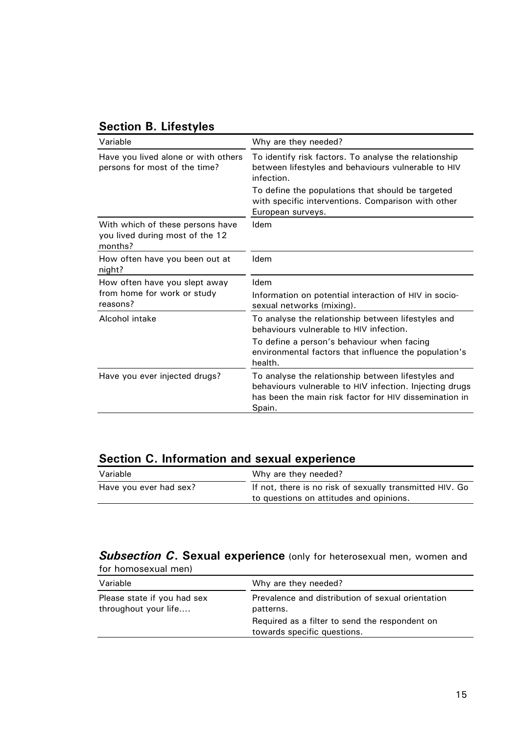| Variable                                                                       | Why are they needed?                                                                                                                                                              |
|--------------------------------------------------------------------------------|-----------------------------------------------------------------------------------------------------------------------------------------------------------------------------------|
| Have you lived alone or with others<br>persons for most of the time?           | To identify risk factors. To analyse the relationship<br>between lifestyles and behaviours vulnerable to HIV<br>infection.                                                        |
|                                                                                | To define the populations that should be targeted<br>with specific interventions. Comparison with other<br>European surveys.                                                      |
| With which of these persons have<br>you lived during most of the 12<br>months? | Idem                                                                                                                                                                              |
| How often have you been out at<br>night?                                       | Idem                                                                                                                                                                              |
| How often have you slept away                                                  | Idem                                                                                                                                                                              |
| from home for work or study<br>reasons?                                        | Information on potential interaction of HIV in socio-<br>sexual networks (mixing).                                                                                                |
| Alcohol intake                                                                 | To analyse the relationship between lifestyles and<br>behaviours vulnerable to HIV infection.                                                                                     |
|                                                                                | To define a person's behaviour when facing<br>environmental factors that influence the population's<br>health.                                                                    |
| Have you ever injected drugs?                                                  | To analyse the relationship between lifestyles and<br>behaviours vulnerable to HIV infection. Injecting drugs<br>has been the main risk factor for HIV dissemination in<br>Spain. |

# **Section B. Lifestyles**

# **Section C. Information and sexual experience**

| Variable               | Why are they needed?                                                                                |
|------------------------|-----------------------------------------------------------------------------------------------------|
| Have you ever had sex? | If not, there is no risk of sexually transmitted HIV. Go<br>to questions on attitudes and opinions. |

# **Subsection C. Sexual experience** (only for heterosexual men, women and for homosexual men)

| Variable                                            | Why are they needed?                                                          |  |
|-----------------------------------------------------|-------------------------------------------------------------------------------|--|
| Please state if you had sex<br>throughout your life | Prevalence and distribution of sexual orientation<br>patterns.                |  |
|                                                     | Required as a filter to send the respondent on<br>towards specific questions. |  |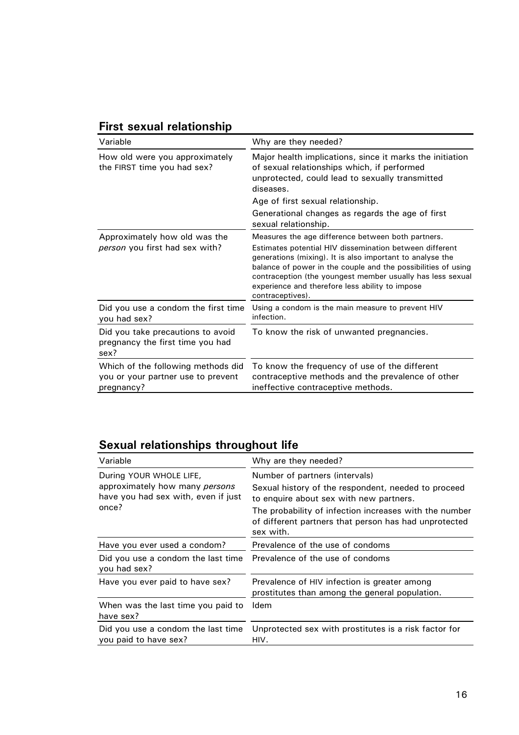|  | <b>First sexual relationship</b> |  |
|--|----------------------------------|--|
|  |                                  |  |

| Variable                                                                               | Why are they needed?                                                                                                                                                                                                                                                                                                                                                             |
|----------------------------------------------------------------------------------------|----------------------------------------------------------------------------------------------------------------------------------------------------------------------------------------------------------------------------------------------------------------------------------------------------------------------------------------------------------------------------------|
| How old were you approximately<br>the FIRST time you had sex?                          | Major health implications, since it marks the initiation<br>of sexual relationships which, if performed<br>unprotected, could lead to sexually transmitted<br>diseases.                                                                                                                                                                                                          |
|                                                                                        | Age of first sexual relationship.                                                                                                                                                                                                                                                                                                                                                |
|                                                                                        | Generational changes as regards the age of first<br>sexual relationship.                                                                                                                                                                                                                                                                                                         |
| Approximately how old was the<br><i>person</i> you first had sex with?                 | Measures the age difference between both partners.<br>Estimates potential HIV dissemination between different<br>generations (mixing). It is also important to analyse the<br>balance of power in the couple and the possibilities of using<br>contraception (the youngest member usually has less sexual<br>experience and therefore less ability to impose<br>contraceptives). |
| Did you use a condom the first time<br>you had sex?                                    | Using a condom is the main measure to prevent HIV<br>infection.                                                                                                                                                                                                                                                                                                                  |
| Did you take precautions to avoid<br>pregnancy the first time you had<br>sex?          | To know the risk of unwanted pregnancies.                                                                                                                                                                                                                                                                                                                                        |
| Which of the following methods did<br>you or your partner use to prevent<br>pregnancy? | To know the frequency of use of the different<br>contraceptive methods and the prevalence of other<br>ineffective contraceptive methods.                                                                                                                                                                                                                                         |

# **Sexual relationships throughout life**

| Variable                                                                                                         | Why are they needed?                                                                                                                                                                                                                                             |
|------------------------------------------------------------------------------------------------------------------|------------------------------------------------------------------------------------------------------------------------------------------------------------------------------------------------------------------------------------------------------------------|
| During YOUR WHOLE LIFE,<br>approximately how many <i>persons</i><br>have you had sex with, even if just<br>once? | Number of partners (intervals)<br>Sexual history of the respondent, needed to proceed<br>to enquire about sex with new partners.<br>The probability of infection increases with the number<br>of different partners that person has had unprotected<br>sex with. |
| Have you ever used a condom?                                                                                     | Prevalence of the use of condoms                                                                                                                                                                                                                                 |
| Did you use a condom the last time<br>you had sex?                                                               | Prevalence of the use of condoms                                                                                                                                                                                                                                 |
| Have you ever paid to have sex?                                                                                  | Prevalence of HIV infection is greater among<br>prostitutes than among the general population.                                                                                                                                                                   |
| When was the last time you paid to<br>have sex?                                                                  | ldem                                                                                                                                                                                                                                                             |
| Did you use a condom the last time<br>you paid to have sex?                                                      | Unprotected sex with prostitutes is a risk factor for<br>HIV.                                                                                                                                                                                                    |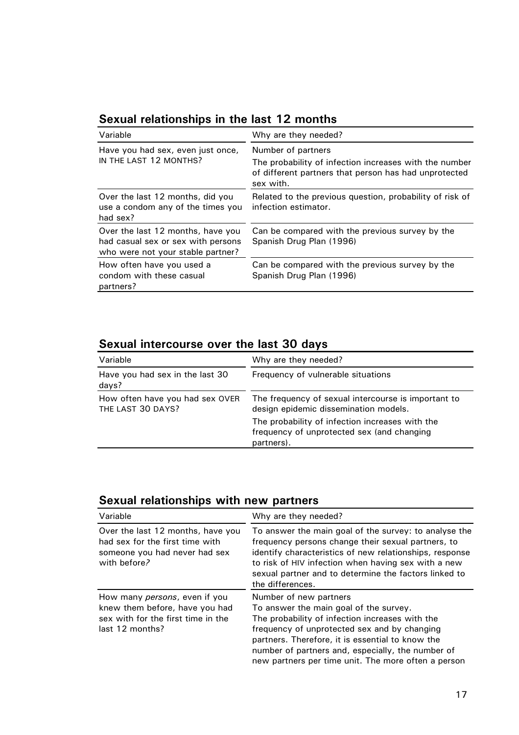| Sexual relationships in the last 12 months |  |  |  |  |  |
|--------------------------------------------|--|--|--|--|--|
|--------------------------------------------|--|--|--|--|--|

| Variable                                                                                                     | Why are they needed?                                                                                                                               |
|--------------------------------------------------------------------------------------------------------------|----------------------------------------------------------------------------------------------------------------------------------------------------|
| Have you had sex, even just once,<br>IN THE LAST 12 MONTHS?                                                  | Number of partners<br>The probability of infection increases with the number<br>of different partners that person has had unprotected<br>sex with. |
| Over the last 12 months, did you<br>use a condom any of the times you<br>had sex?                            | Related to the previous question, probability of risk of<br>infection estimator.                                                                   |
| Over the last 12 months, have you<br>had casual sex or sex with persons<br>who were not your stable partner? | Can be compared with the previous survey by the<br>Spanish Drug Plan (1996)                                                                        |
| How often have you used a<br>condom with these casual<br>partners?                                           | Can be compared with the previous survey by the<br>Spanish Drug Plan (1996)                                                                        |

# **Sexual intercourse over the last 30 days**

| Variable                                             | Why are they needed?                                                                                                                                                                                        |
|------------------------------------------------------|-------------------------------------------------------------------------------------------------------------------------------------------------------------------------------------------------------------|
| Have you had sex in the last 30<br>days?             | Frequency of vulnerable situations                                                                                                                                                                          |
| How often have you had sex OVER<br>THE LAST 30 DAYS? | The frequency of sexual intercourse is important to<br>design epidemic dissemination models.<br>The probability of infection increases with the<br>frequency of unprotected sex (and changing<br>partners). |

# **Sexual relationships with new partners**

| Variable                                                                                                                         | Why are they needed?                                                                                                                                                                                                                                                                                                                |
|----------------------------------------------------------------------------------------------------------------------------------|-------------------------------------------------------------------------------------------------------------------------------------------------------------------------------------------------------------------------------------------------------------------------------------------------------------------------------------|
| Over the last 12 months, have you<br>had sex for the first time with<br>someone you had never had sex<br>with before?            | To answer the main goal of the survey: to analyse the<br>frequency persons change their sexual partners, to<br>identify characteristics of new relationships, response<br>to risk of HIV infection when having sex with a new<br>sexual partner and to determine the factors linked to<br>the differences.                          |
| How many <i>persons</i> , even if you<br>knew them before, have you had<br>sex with for the first time in the<br>last 12 months? | Number of new partners<br>To answer the main goal of the survey.<br>The probability of infection increases with the<br>frequency of unprotected sex and by changing<br>partners. Therefore, it is essential to know the<br>number of partners and, especially, the number of<br>new partners per time unit. The more often a person |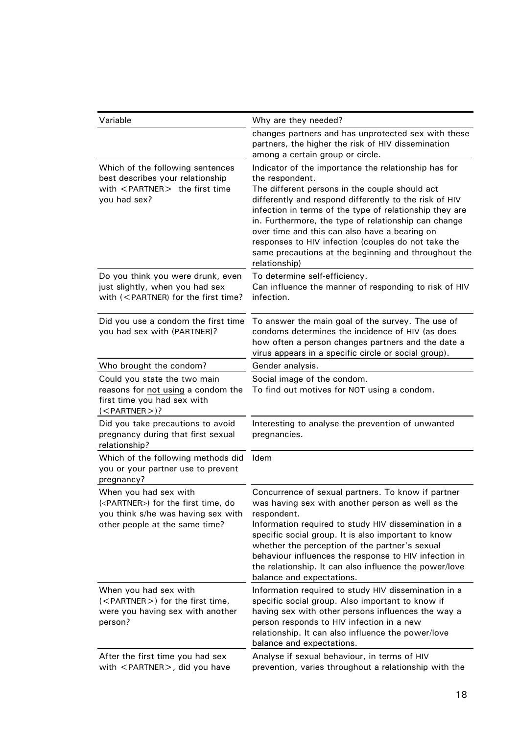| Variable                                                                                                                                                                                                                                                   | Why are they needed?                                                                                                                                                                                                                                                                                                                                                                                                                                                                    |
|------------------------------------------------------------------------------------------------------------------------------------------------------------------------------------------------------------------------------------------------------------|-----------------------------------------------------------------------------------------------------------------------------------------------------------------------------------------------------------------------------------------------------------------------------------------------------------------------------------------------------------------------------------------------------------------------------------------------------------------------------------------|
|                                                                                                                                                                                                                                                            | changes partners and has unprotected sex with these<br>partners, the higher the risk of HIV dissemination<br>among a certain group or circle.                                                                                                                                                                                                                                                                                                                                           |
| Which of the following sentences<br>best describes your relationship<br>with <partner> the first time<br/>you had sex?</partner>                                                                                                                           | Indicator of the importance the relationship has for<br>the respondent.<br>The different persons in the couple should act<br>differently and respond differently to the risk of HIV<br>infection in terms of the type of relationship they are<br>in. Furthermore, the type of relationship can change<br>over time and this can also have a bearing on<br>responses to HIV infection (couples do not take the<br>same precautions at the beginning and throughout the<br>relationship) |
| Do you think you were drunk, even<br>just slightly, when you had sex<br>with ( <partner) first="" for="" td="" the="" time?<=""><td>To determine self-efficiency.<br/>Can influence the manner of responding to risk of HIV<br/>infection.</td></partner)> | To determine self-efficiency.<br>Can influence the manner of responding to risk of HIV<br>infection.                                                                                                                                                                                                                                                                                                                                                                                    |
| Did you use a condom the first time<br>you had sex with (PARTNER)?                                                                                                                                                                                         | To answer the main goal of the survey. The use of<br>condoms determines the incidence of HIV (as does<br>how often a person changes partners and the date a<br>virus appears in a specific circle or social group).                                                                                                                                                                                                                                                                     |
| Who brought the condom?                                                                                                                                                                                                                                    | Gender analysis.                                                                                                                                                                                                                                                                                                                                                                                                                                                                        |
| Could you state the two main<br>reasons for not using a condom the<br>first time you had sex with<br>$(<$ PARTNER $>$ )?                                                                                                                                   | Social image of the condom.<br>To find out motives for NOT using a condom.                                                                                                                                                                                                                                                                                                                                                                                                              |
| Did you take precautions to avoid<br>pregnancy during that first sexual<br>relationship?                                                                                                                                                                   | Interesting to analyse the prevention of unwanted<br>pregnancies.                                                                                                                                                                                                                                                                                                                                                                                                                       |
| Which of the following methods did<br>you or your partner use to prevent<br>pregnancy?                                                                                                                                                                     | Idem                                                                                                                                                                                                                                                                                                                                                                                                                                                                                    |
| When you had sex with<br>( <partner>) for the first time, do<br/>you think s/he was having sex with<br/>other people at the same time?</partner>                                                                                                           | Concurrence of sexual partners. To know if partner<br>was having sex with another person as well as the<br>respondent.<br>Information required to study HIV dissemination in a<br>specific social group. It is also important to know<br>whether the perception of the partner's sexual<br>behaviour influences the response to HIV infection in<br>the relationship. It can also influence the power/love<br>balance and expectations.                                                 |
| When you had sex with<br>( <partner>) for the first time,<br/>were you having sex with another<br/>person?</partner>                                                                                                                                       | Information required to study HIV dissemination in a<br>specific social group. Also important to know if<br>having sex with other persons influences the way a<br>person responds to HIV infection in a new<br>relationship. It can also influence the power/love<br>balance and expectations.                                                                                                                                                                                          |
| After the first time you had sex<br>with $\leq$ PARTNER $>$ , did you have                                                                                                                                                                                 | Analyse if sexual behaviour, in terms of HIV<br>prevention, varies throughout a relationship with the                                                                                                                                                                                                                                                                                                                                                                                   |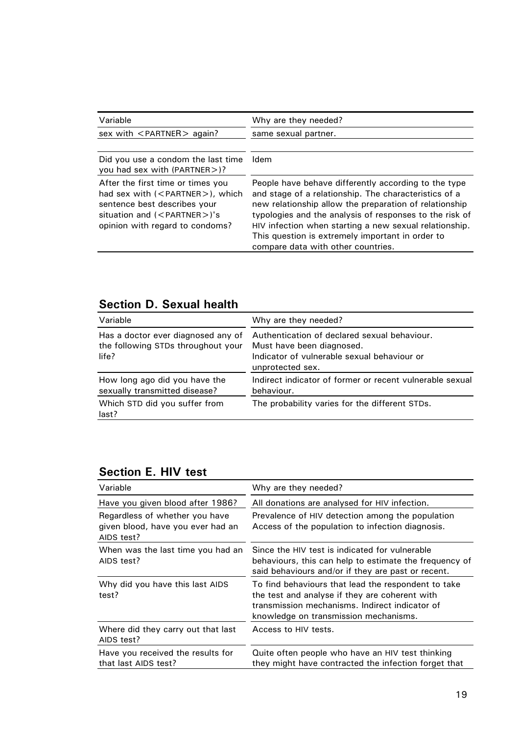| Variable                                                                                                                                                                 | Why are they needed?                                                                                                                                                                                                                                                                                                                                                                   |
|--------------------------------------------------------------------------------------------------------------------------------------------------------------------------|----------------------------------------------------------------------------------------------------------------------------------------------------------------------------------------------------------------------------------------------------------------------------------------------------------------------------------------------------------------------------------------|
| sex with $\leq$ PARTNER $>$ again?                                                                                                                                       | same sexual partner.                                                                                                                                                                                                                                                                                                                                                                   |
| Did you use a condom the last time<br>you had sex with (PARTNER>)?                                                                                                       | Idem                                                                                                                                                                                                                                                                                                                                                                                   |
| After the first time or times you<br>had sex with $(PARTNER)$ , which<br>sentence best describes your<br>situation and $(PARTNER)$ 's<br>opinion with regard to condoms? | People have behave differently according to the type<br>and stage of a relationship. The characteristics of a<br>new relationship allow the preparation of relationship<br>typologies and the analysis of responses to the risk of<br>HIV infection when starting a new sexual relationship.<br>This question is extremely important in order to<br>compare data with other countries. |

# **Section D. Sexual health**

| Variable                                                                          | Why are they needed?                                                                                                                         |
|-----------------------------------------------------------------------------------|----------------------------------------------------------------------------------------------------------------------------------------------|
| Has a doctor ever diagnosed any of<br>the following STDs throughout your<br>life? | Authentication of declared sexual behaviour.<br>Must have been diagnosed.<br>Indicator of vulnerable sexual behaviour or<br>unprotected sex. |
| How long ago did you have the<br>sexually transmitted disease?                    | Indirect indicator of former or recent vulnerable sexual<br>behaviour.                                                                       |
| Which STD did you suffer from<br>last?                                            | The probability varies for the different STDs.                                                                                               |

# **Section E. HIV test**

| Variable                                                                          | Why are they needed?                                                                                                                                                                             |
|-----------------------------------------------------------------------------------|--------------------------------------------------------------------------------------------------------------------------------------------------------------------------------------------------|
| Have you given blood after 1986?                                                  | All donations are analysed for HIV infection.                                                                                                                                                    |
| Regardless of whether you have<br>given blood, have you ever had an<br>AIDS test? | Prevalence of HIV detection among the population<br>Access of the population to infection diagnosis.                                                                                             |
| When was the last time you had an<br>AIDS test?                                   | Since the HIV test is indicated for vulnerable<br>behaviours, this can help to estimate the frequency of<br>said behaviours and/or if they are past or recent.                                   |
| Why did you have this last AIDS<br>test?                                          | To find behaviours that lead the respondent to take<br>the test and analyse if they are coherent with<br>transmission mechanisms. Indirect indicator of<br>knowledge on transmission mechanisms. |
| Where did they carry out that last<br>AIDS test?                                  | Access to HIV tests.                                                                                                                                                                             |
| Have you received the results for<br>that last AIDS test?                         | Quite often people who have an HIV test thinking<br>they might have contracted the infection forget that                                                                                         |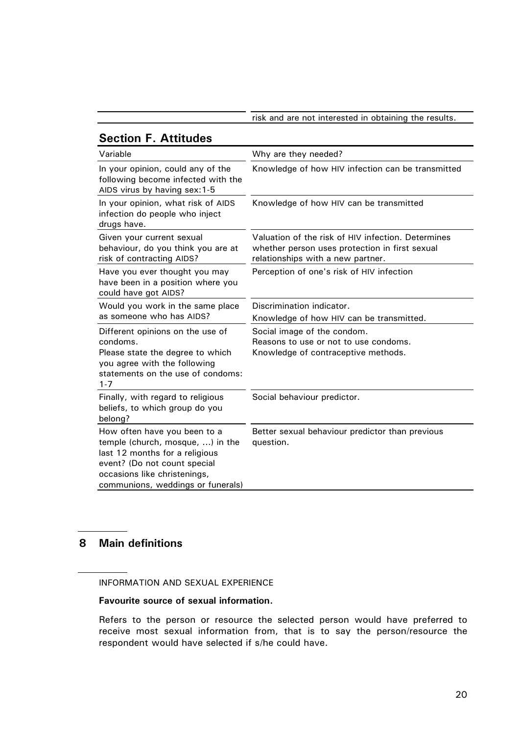risk and are not interested in obtaining the results.

| <b>Section F. Attitudes</b>                                                                                                                                                                             |                                                                                                                                           |
|---------------------------------------------------------------------------------------------------------------------------------------------------------------------------------------------------------|-------------------------------------------------------------------------------------------------------------------------------------------|
| Variable                                                                                                                                                                                                | Why are they needed?                                                                                                                      |
| In your opinion, could any of the<br>following become infected with the<br>AIDS virus by having sex: 1-5                                                                                                | Knowledge of how HIV infection can be transmitted                                                                                         |
| In your opinion, what risk of AIDS<br>infection do people who inject<br>drugs have.                                                                                                                     | Knowledge of how HIV can be transmitted                                                                                                   |
| Given your current sexual<br>behaviour, do you think you are at<br>risk of contracting AIDS?                                                                                                            | Valuation of the risk of HIV infection. Determines<br>whether person uses protection in first sexual<br>relationships with a new partner. |
| Have you ever thought you may<br>have been in a position where you<br>could have got AIDS?                                                                                                              | Perception of one's risk of HIV infection                                                                                                 |
| Would you work in the same place<br>as someone who has AIDS?                                                                                                                                            | Discrimination indicator.<br>Knowledge of how HIV can be transmitted.                                                                     |
| Different opinions on the use of<br>condoms.<br>Please state the degree to which<br>you agree with the following<br>statements on the use of condoms:<br>$1 - 7$                                        | Social image of the condom.<br>Reasons to use or not to use condoms.<br>Knowledge of contraceptive methods.                               |
| Finally, with regard to religious<br>beliefs, to which group do you<br>belong?                                                                                                                          | Social behaviour predictor.                                                                                                               |
| How often have you been to a<br>temple (church, mosque, ) in the<br>last 12 months for a religious<br>event? (Do not count special<br>occasions like christenings,<br>communions, weddings or funerals) | Better sexual behaviour predictor than previous<br>question.                                                                              |

# **8 Main definitions**

INFORMATION AND SEXUAL EXPERIENCE

## **Favourite source of sexual information.**

Refers to the person or resource the selected person would have preferred to receive most sexual information from, that is to say the person/resource the respondent would have selected if s/he could have.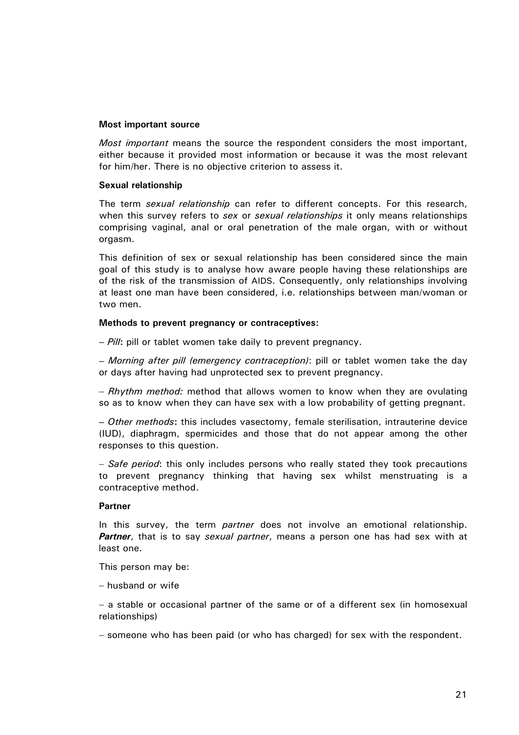#### **Most important source**

*Most important* means the source the respondent considers the most important, either because it provided most information or because it was the most relevant for him/her. There is no objective criterion to assess it.

#### **Sexual relationship**

The term *sexual relationship* can refer to different concepts. For this research, when this survey refers to *sex* or *sexual relationships* it only means relationships comprising vaginal, anal or oral penetration of the male organ, with or without orgasm.

This definition of sex or sexual relationship has been considered since the main goal of this study is to analyse how aware people having these relationships are of the risk of the transmission of AIDS. Consequently, only relationships involving at least one man have been considered, i.e. relationships between man/woman or two men.

#### **Methods to prevent pregnancy or contraceptives:**

− *Pill***:** pill or tablet women take daily to prevent pregnancy.

− *Morning after pill (emergency contraception)*: pill or tablet women take the day or days after having had unprotected sex to prevent pregnancy.

− *Rhythm method:* method that allows women to know when they are ovulating so as to know when they can have sex with a low probability of getting pregnant.

− *Other methods***:** this includes vasectomy, female sterilisation, intrauterine device (IUD), diaphragm, spermicides and those that do not appear among the other responses to this question.

− *Safe period*: this only includes persons who really stated they took precautions to prevent pregnancy thinking that having sex whilst menstruating is a contraceptive method.

## **Partner**

In this survey, the term *partner* does not involve an emotional relationship. *Partner*, that is to say *sexual partner*, means a person one has had sex with at least one.

This person may be:

− husband or wife

− a stable or occasional partner of the same or of a different sex (in homosexual relationships)

− someone who has been paid (or who has charged) for sex with the respondent.